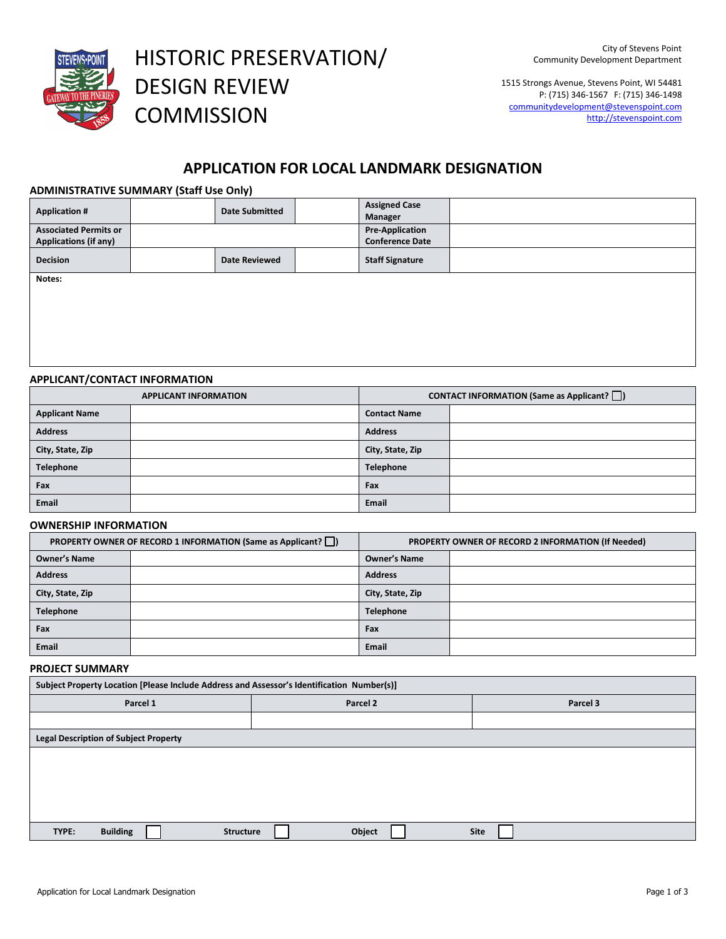

HISTORIC PRESERVATION/ DESIGN REVIEW **COMMISSION** 

1515 Strongs Avenue, Stevens Point, WI 54481 P: (715) 346-1567 F: (715) 346-1498 communitydevelopment@stevenspoint.com http://stevenspoint.com

# **APPLICATION FOR LOCAL LANDMARK DESIGNATION**

# **ADMINISTRATIVE SUMMARY (Staff Use Only)**

| <b>Application #</b>         | <b>Date Submitted</b> | <b>Assigned Case</b><br>Manager |                        |  |
|------------------------------|-----------------------|---------------------------------|------------------------|--|
| <b>Associated Permits or</b> |                       |                                 | <b>Pre-Application</b> |  |
| <b>Applications (if any)</b> |                       |                                 | <b>Conference Date</b> |  |
| <b>Decision</b>              | <b>Date Reviewed</b>  | <b>Staff Signature</b>          |                        |  |
| Notac:                       |                       |                                 |                        |  |

**Notes:**

# **APPLICANT/CONTACT INFORMATION**

| <b>APPLICANT INFORMATION</b> |  | <b>CONTACT INFORMATION (Same as Applicant?</b> $\Box$ ) |  |
|------------------------------|--|---------------------------------------------------------|--|
| <b>Applicant Name</b>        |  | <b>Contact Name</b>                                     |  |
| <b>Address</b>               |  | <b>Address</b>                                          |  |
| City, State, Zip             |  | City, State, Zip                                        |  |
| <b>Telephone</b>             |  | Telephone                                               |  |
| Fax                          |  | Fax                                                     |  |
| Email                        |  | Email                                                   |  |

## **OWNERSHIP INFORMATION**

| <b>PROPERTY OWNER OF RECORD 1 INFORMATION (Same as Applicant?</b> ) |  | PROPERTY OWNER OF RECORD 2 INFORMATION (If Needed) |  |
|---------------------------------------------------------------------|--|----------------------------------------------------|--|
| <b>Owner's Name</b>                                                 |  | <b>Owner's Name</b>                                |  |
| <b>Address</b>                                                      |  | <b>Address</b>                                     |  |
| City, State, Zip                                                    |  | City, State, Zip                                   |  |
| <b>Telephone</b>                                                    |  | <b>Telephone</b>                                   |  |
| Fax                                                                 |  | Fax                                                |  |
| <b>Email</b>                                                        |  | Email                                              |  |

# **PROJECT SUMMARY**

| Subject Property Location [Please Include Address and Assessor's Identification Number(s)] |          |             |  |  |  |
|--------------------------------------------------------------------------------------------|----------|-------------|--|--|--|
| Parcel 1                                                                                   | Parcel 2 | Parcel 3    |  |  |  |
|                                                                                            |          |             |  |  |  |
| <b>Legal Description of Subject Property</b>                                               |          |             |  |  |  |
|                                                                                            |          |             |  |  |  |
|                                                                                            |          |             |  |  |  |
|                                                                                            |          |             |  |  |  |
|                                                                                            |          |             |  |  |  |
| <b>Building</b><br>TYPE:<br><b>Structure</b>                                               | Object   | <b>Site</b> |  |  |  |
|                                                                                            |          |             |  |  |  |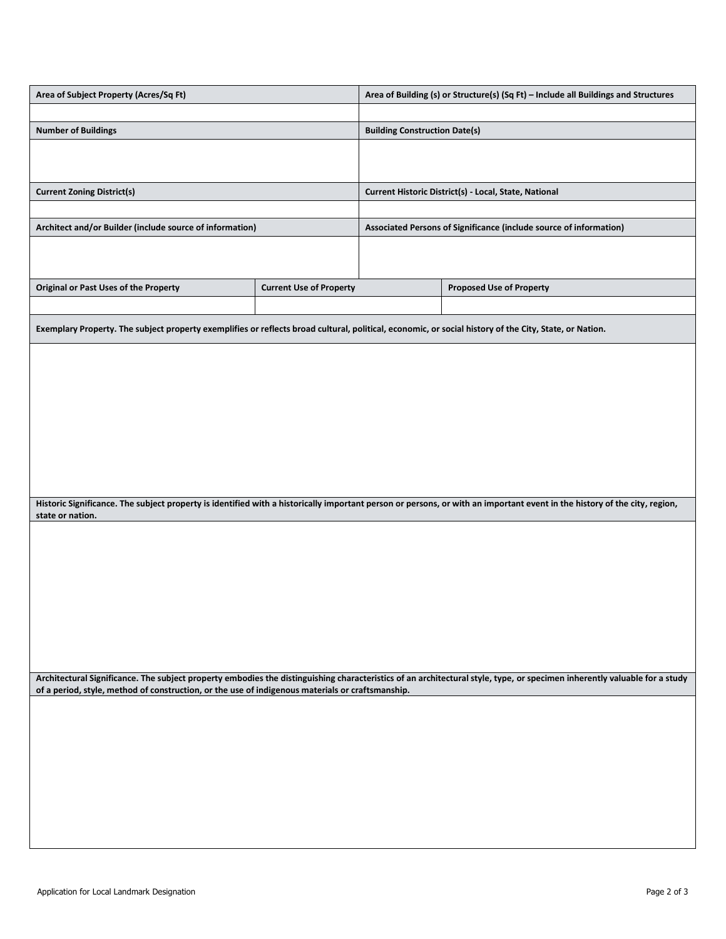| Area of Subject Property (Acres/Sq Ft)                   |                                | Area of Building (s) or Structure(s) (Sq Ft) - Include all Buildings and Structures |                                 |
|----------------------------------------------------------|--------------------------------|-------------------------------------------------------------------------------------|---------------------------------|
|                                                          |                                |                                                                                     |                                 |
| <b>Number of Buildings</b>                               |                                | <b>Building Construction Date(s)</b>                                                |                                 |
|                                                          |                                |                                                                                     |                                 |
|                                                          |                                |                                                                                     |                                 |
| <b>Current Zoning District(s)</b>                        |                                | Current Historic District(s) - Local, State, National                               |                                 |
|                                                          |                                |                                                                                     |                                 |
| Architect and/or Builder (include source of information) |                                | Associated Persons of Significance (include source of information)                  |                                 |
|                                                          |                                |                                                                                     |                                 |
|                                                          |                                |                                                                                     |                                 |
| <b>Original or Past Uses of the Property</b>             | <b>Current Use of Property</b> |                                                                                     | <b>Proposed Use of Property</b> |
|                                                          |                                |                                                                                     |                                 |

**Exemplary Property. The subject property exemplifies or reflects broad cultural, political, economic, or social history of the City, State, or Nation.**

**Historic Significance. The subject property is identified with a historically important person or persons, or with an important event in the history of the city, region, state or nation.** 

**Architectural Significance. The subject property embodies the distinguishing characteristics of an architectural style, type, or specimen inherently valuable for a study of a period, style, method of construction, or the use of indigenous materials or craftsmanship.**